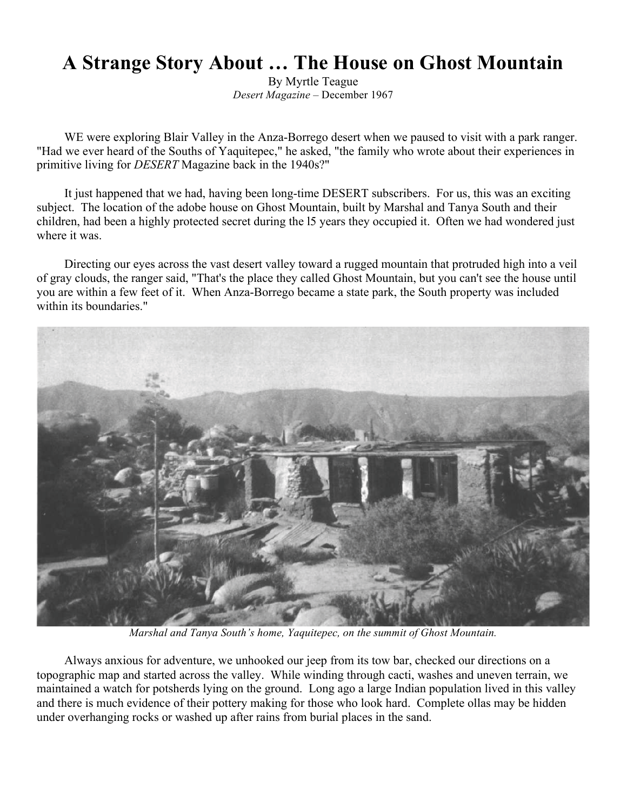## **A Strange Story About … The House on Ghost Mountain**

By Myrtle Teague *Desert Magazine* – December 1967

WE were exploring Blair Valley in the Anza-Borrego desert when we paused to visit with a park ranger. "Had we ever heard of the Souths of Yaquitepec," he asked, "the family who wrote about their experiences in primitive living for *DESERT* Magazine back in the 1940s?"

It just happened that we had, having been long-time DESERT subscribers. For us, this was an exciting subject. The location of the adobe house on Ghost Mountain, built by Marshal and Tanya South and their children, had been a highly protected secret during the l5 years they occupied it. Often we had wondered just where it was.

Directing our eyes across the vast desert valley toward a rugged mountain that protruded high into a veil of gray clouds, the ranger said, "That's the place they called Ghost Mountain, but you can't see the house until you are within a few feet of it. When Anza-Borrego became a state park, the South property was included within its boundaries."



*Marshal and Tanya South's home, Yaquitepec, on the summit of Ghost Mountain.*

Always anxious for adventure, we unhooked our jeep from its tow bar, checked our directions on a topographic map and started across the valley. While winding through cacti, washes and uneven terrain, we maintained a watch for potsherds lying on the ground. Long ago a large Indian population lived in this valley and there is much evidence of their pottery making for those who look hard. Complete ollas may be hidden under overhanging rocks or washed up after rains from burial places in the sand.